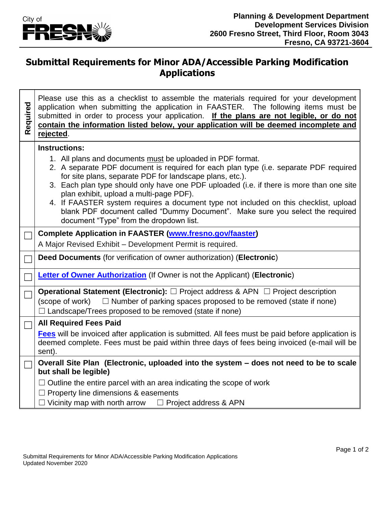

## **Submittal Requirements for Minor ADA/Accessible Parking Modification Applications**

| Required | Please use this as a checklist to assemble the materials required for your development<br>application when submitting the application in FAASTER. The following items must be<br>submitted in order to process your application. If the plans are not legible, or do not<br>contain the information listed below, your application will be deemed incomplete and<br>rejected.                                                                                                                                                                                              |  |  |  |
|----------|----------------------------------------------------------------------------------------------------------------------------------------------------------------------------------------------------------------------------------------------------------------------------------------------------------------------------------------------------------------------------------------------------------------------------------------------------------------------------------------------------------------------------------------------------------------------------|--|--|--|
|          | <b>Instructions:</b>                                                                                                                                                                                                                                                                                                                                                                                                                                                                                                                                                       |  |  |  |
|          | 1. All plans and documents must be uploaded in PDF format.<br>2. A separate PDF document is required for each plan type (i.e. separate PDF required<br>for site plans, separate PDF for landscape plans, etc.).<br>3. Each plan type should only have one PDF uploaded (i.e. if there is more than one site<br>plan exhibit, upload a multi-page PDF).<br>4. If FAASTER system requires a document type not included on this checklist, upload<br>blank PDF document called "Dummy Document". Make sure you select the required<br>document "Type" from the dropdown list. |  |  |  |
|          | <b>Complete Application in FAASTER (www.fresno.gov/faaster)</b>                                                                                                                                                                                                                                                                                                                                                                                                                                                                                                            |  |  |  |
|          | A Major Revised Exhibit - Development Permit is required.                                                                                                                                                                                                                                                                                                                                                                                                                                                                                                                  |  |  |  |
|          | Deed Documents (for verification of owner authorization) (Electronic)                                                                                                                                                                                                                                                                                                                                                                                                                                                                                                      |  |  |  |
|          | <b>Letter of Owner Authorization</b> (If Owner is not the Applicant) (Electronic)                                                                                                                                                                                                                                                                                                                                                                                                                                                                                          |  |  |  |
|          | <b>Operational Statement (Electronic):</b> $\Box$ Project address & APN $\Box$ Project description<br>$\Box$ Number of parking spaces proposed to be removed (state if none)<br>(scope of work)<br>$\Box$ Landscape/Trees proposed to be removed (state if none)                                                                                                                                                                                                                                                                                                           |  |  |  |
|          | <b>All Required Fees Paid</b>                                                                                                                                                                                                                                                                                                                                                                                                                                                                                                                                              |  |  |  |
|          | Fees will be invoiced after application is submitted. All fees must be paid before application is<br>deemed complete. Fees must be paid within three days of fees being invoiced (e-mail will be<br>sent).                                                                                                                                                                                                                                                                                                                                                                 |  |  |  |
|          | Overall Site Plan (Electronic, uploaded into the system - does not need to be to scale<br>but shall be legible)                                                                                                                                                                                                                                                                                                                                                                                                                                                            |  |  |  |
|          | $\Box$ Outline the entire parcel with an area indicating the scope of work                                                                                                                                                                                                                                                                                                                                                                                                                                                                                                 |  |  |  |
|          | $\Box$ Property line dimensions & easements                                                                                                                                                                                                                                                                                                                                                                                                                                                                                                                                |  |  |  |
|          | $\Box$ Vicinity map with north arrow $\Box$ Project address & APN                                                                                                                                                                                                                                                                                                                                                                                                                                                                                                          |  |  |  |